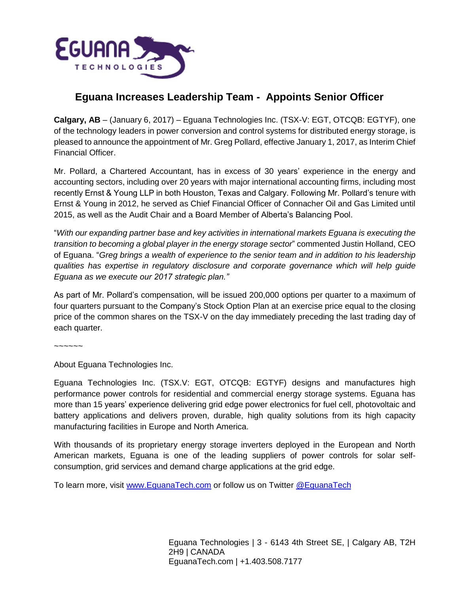

## **Eguana Increases Leadership Team - Appoints Senior Officer**

**Calgary, AB** – (January 6, 2017) – Eguana Technologies Inc. (TSX-V: EGT, OTCQB: EGTYF), one of the technology leaders in power conversion and control systems for distributed energy storage, is pleased to announce the appointment of Mr. Greg Pollard, effective January 1, 2017, as Interim Chief Financial Officer.

Mr. Pollard, a Chartered Accountant, has in excess of 30 years' experience in the energy and accounting sectors, including over 20 years with major international accounting firms, including most recently Ernst & Young LLP in both Houston, Texas and Calgary. Following Mr. Pollard's tenure with Ernst & Young in 2012, he served as Chief Financial Officer of Connacher Oil and Gas Limited until 2015, as well as the Audit Chair and a Board Member of Alberta's Balancing Pool.

"*With our expanding partner base and key activities in international markets Eguana is executing the transition to becoming a global player in the energy storage sector*" commented Justin Holland, CEO of Eguana. "*Greg brings a wealth of experience to the senior team and in addition to his leadership qualities has expertise in regulatory disclosure and corporate governance which will help guide Eguana as we execute our 2017 strategic plan."*

As part of Mr. Pollard's compensation, will be issued 200,000 options per quarter to a maximum of four quarters pursuant to the Company's Stock Option Plan at an exercise price equal to the closing price of the common shares on the TSX-V on the day immediately preceding the last trading day of each quarter.

~~~~~~

About Eguana Technologies Inc.

Eguana Technologies Inc. (TSX.V: EGT, OTCQB: EGTYF) designs and manufactures high performance power controls for residential and commercial energy storage systems. Eguana has more than 15 years' experience delivering grid edge power electronics for fuel cell, photovoltaic and battery applications and delivers proven, durable, high quality solutions from its high capacity manufacturing facilities in Europe and North America.

With thousands of its proprietary energy storage inverters deployed in the European and North American markets, Eguana is one of the leading suppliers of power controls for solar selfconsumption, grid services and demand charge applications at the grid edge.

To learn more, visit www.EquanaTech.com or follow us on Twitter @EquanaTech

Eguana Technologies | 3 - 6143 4th Street SE, | Calgary AB, T2H 2H9 | CANADA EguanaTech.com | +1.403.508.7177